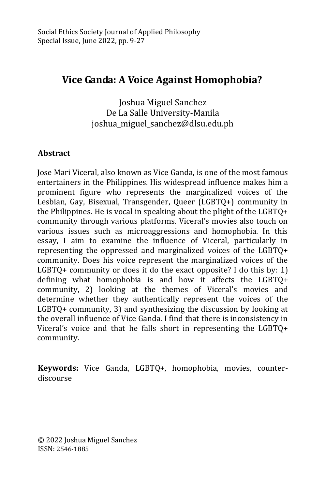# **Vice Ganda: A Voice Against Homophobia?**

Joshua Miguel Sanchez De La Salle University-Manila joshua\_miguel\_sanchez@dlsu.edu.ph

# **Abstract**

Jose Mari Viceral, also known as Vice Ganda, is one of the most famous entertainers in the Philippines. His widespread influence makes him a prominent figure who represents the marginalized voices of the Lesbian, Gay, Bisexual, Transgender, Queer (LGBTQ+) community in the Philippines. He is vocal in speaking about the plight of the LGBTQ+ community through various platforms. Viceral's movies also touch on various issues such as microaggressions and homophobia. In this essay, I aim to examine the influence of Viceral, particularly in representing the oppressed and marginalized voices of the LGBTQ+ community. Does his voice represent the marginalized voices of the LGBTQ+ community or does it do the exact opposite? I do this by: 1) defining what homophobia is and how it affects the LGBTQ+ community, 2) looking at the themes of Viceral's movies and determine whether they authentically represent the voices of the LGBTQ+ community, 3) and synthesizing the discussion by looking at the overall influence of Vice Ganda. I find that there is inconsistency in Viceral's voice and that he falls short in representing the LGBTQ+ community.

**Keywords:** Vice Ganda, LGBTQ+, homophobia, movies, counterdiscourse

© 2022 Joshua Miguel Sanchez ISSN: 2546-1885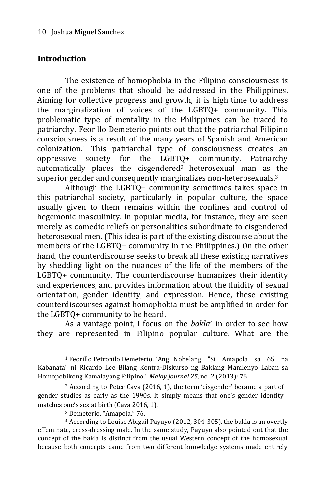#### **Introduction**

The existence of homophobia in the Filipino consciousness is one of the problems that should be addressed in the Philippines. Aiming for collective progress and growth, it is high time to address the marginalization of voices of the LGBTQ+ community. This problematic type of mentality in the Philippines can be traced to patriarchy. Feorillo Demeterio points out that the patriarchal Filipino consciousness is a result of the many years of Spanish and American colonization.<sup>1</sup> This patriarchal type of consciousness creates an oppressive society for the LGBTQ+ community. Patriarchy automatically places the cisgendered<sup>2</sup> heterosexual man as the superior gender and consequently marginalizes non-heterosexuals.<sup>3</sup>

Although the LGBTQ+ community sometimes takes space in this patriarchal society, particularly in popular culture, the space usually given to them remains within the confines and control of hegemonic masculinity. In popular media, for instance, they are seen merely as comedic reliefs or personalities subordinate to cisgendered heterosexual men. (This idea is part of the existing discourse about the members of the LGBTQ+ community in the Philippines.) On the other hand, the counterdiscourse seeks to break all these existing narratives by shedding light on the nuances of the life of the members of the LGBTQ+ community. The counterdiscourse humanizes their identity and experiences, and provides information about the fluidity of sexual orientation, gender identity, and expression. Hence, these existing counterdiscourses against homophobia must be amplified in order for the LGBTQ+ community to be heard.

As a vantage point, I focus on the *bakla*<sup>4</sup> in order to see how they are represented in Filipino popular culture. What are the

<sup>1</sup> Feorillo Petronilo Demeterio, "Ang Nobelang "Si Amapola sa 65 na Kabanata" ni Ricardo Lee Bilang Kontra-Diskurso ng Baklang Manilenyo Laban sa Homopobikong Kamalayang Filipino," *Malay Journal 25,* no. 2 (2013): 76

<sup>2</sup> According to Peter Cava (2016, 1), the term 'cisgender' became a part of gender studies as early as the 1990s. It simply means that one's gender identity matches one's sex at birth (Cava 2016, 1).

<sup>3</sup> Demeterio, "Amapola," 76.

<sup>4</sup> According to Louise Abigail Payuyo (2012, 304-305), the bakla is an overtly effeminate, cross-dressing male. In the same study, Payuyo also pointed out that the concept of the bakla is distinct from the usual Western concept of the homosexual because both concepts came from two different knowledge systems made entirely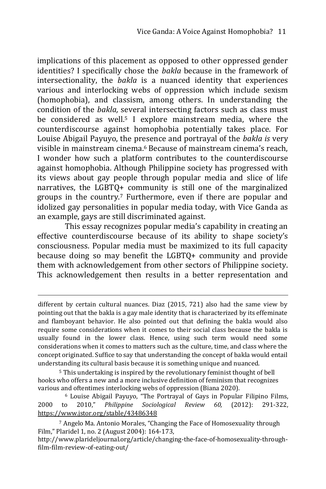implications of this placement as opposed to other oppressed gender identities? I specifically chose the *bakla* because in the framework of intersectionality, the *bakla* is a nuanced identity that experiences various and interlocking webs of oppression which include sexism (homophobia), and classism, among others. In understanding the condition of the *bakla,* several intersecting factors such as class must be considered as well.<sup>5</sup> I explore mainstream media, where the counterdiscourse against homophobia potentially takes place. For Louise Abigail Payuyo, the presence and portrayal of the *bakla is* very visible in mainstream cinema.<sup>6</sup> Because of mainstream cinema's reach, I wonder how such a platform contributes to the counterdiscourse against homophobia. Although Philippine society has progressed with its views about gay people through popular media and slice of life narratives, the LGBTQ+ community is still one of the marginalized groups in the country.<sup>7</sup> Furthermore, even if there are popular and idolized gay personalities in popular media today, with Vice Ganda as an example, gays are still discriminated against.

This essay recognizes popular media's capability in creating an effective counterdiscourse because of its ability to shape society's consciousness. Popular media must be maximized to its full capacity because doing so may benefit the LGBTQ+ community and provide them with acknowledgement from other sectors of Philippine society. This acknowledgement then results in a better representation and

-

<sup>5</sup> This undertaking is inspired by the revolutionary feminist thought of bell hooks who offers a new and a more inclusive definition of feminism that recognizes various and oftentimes interlocking webs of oppression (Biana 2020).

<sup>6</sup> Louise Abigail Payuyo, "The Portrayal of Gays in Popular Filipino Films, 2000 to 2010," *Philippine Sociological Review 60,* (2012): 291-322, <https://www.jstor.org/stable/43486348>

different by certain cultural nuances. Diaz (2015, 721) also had the same view by pointing out that the bakla is a gay male identity that is characterized by its effeminate and flamboyant behavior. He also pointed out that defining the bakla would also require some considerations when it comes to their social class because the bakla is usually found in the lower class. Hence, using such term would need some considerations when it comes to matters such as the culture, time, and class where the concept originated. Suffice to say that understanding the concept of bakla would entail understanding its cultural basis because it is something unique and nuanced.

<sup>7</sup> Angelo Ma. Antonio Morales, "Changing the Face of Homosexuality through Film," Plaridel 1, no. 2 (August 2004): 164-173,

http://www.plarideljournal.org/article/changing-the-face-of-homosexuality-throughfilm-film-review-of-eating-out/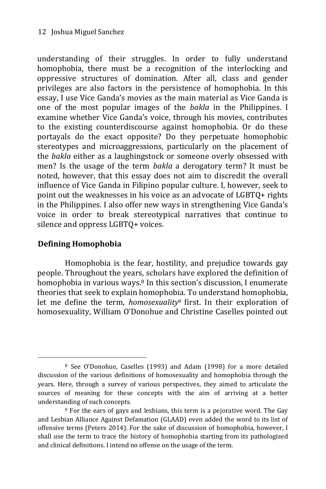understanding of their struggles. In order to fully understand homophobia, there must be a recognition of the interlocking and oppressive structures of domination. After all, class and gender privileges are also factors in the persistence of homophobia. In this essay, I use Vice Ganda's movies as the main material as Vice Ganda is one of the most popular images of the *bakla* in the Philippines. I examine whether Vice Ganda's voice, through his movies, contributes to the existing counterdiscourse against homophobia. Or do these portayals do the exact opposite? Do they perpetuate homophobic stereotypes and microaggressions, particularly on the placement of the *bakla* either as a laughingstock or someone overly obsessed with men? Is the usage of the term *bakla* a derogatory term? It must be noted, however, that this essay does not aim to discredit the overall influence of Vice Ganda in Filipino popular culture. I, however, seek to point out the weaknesses in his voice as an advocate of LGBTQ+ rights in the Philippines. I also offer new ways in strengthening Vice Ganda's voice in order to break stereotypical narratives that continue to silence and oppress LGBTQ+ voices.

# **Defining Homophobia**

-

Homophobia is the fear, hostility, and prejudice towards gay people. Throughout the years, scholars have explored the definition of homophobia in various ways.8 In this section's discussion, I enumerate theories that seek to explain homophobia. To understand homophobia, let me define the term, *homosexuality*<sup>9</sup> first. In their exploration of homosexuality, William O'Donohue and Christine Caselles pointed out

<sup>8</sup> See O'Donohue, Caselles (1993) and Adam (1998) for a more detailed discussion of the various definitions of homosexuality and homophobia through the years. Here, through a survey of various perspectives, they aimed to articulate the sources of meaning for these concepts with the aim of arriving at a better understanding of such concepts.

<sup>9</sup> For the ears of gays and lesbians, this term is a pejorative word. The Gay and Lesbian Alliance Against Defamation (GLAAD) even added the word to its list of offensive terms (Peters 2014). For the sake of discussion of homophobia, however, I shall use the term to trace the history of homophobia starting from its pathologized and clinical definitions. I intend no offense on the usage of the term.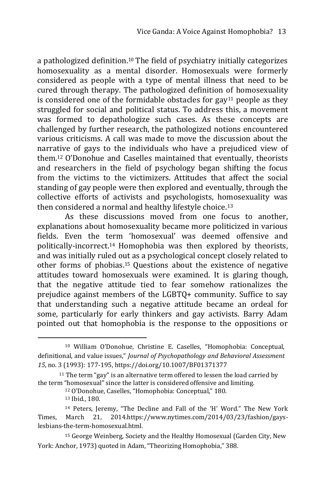a pathologized definition.<sup>10</sup> The field of psychiatry initially categorizes homosexuality as a mental disorder. Homosexuals were formerly considered as people with a type of mental illness that need to be cured through therapy. The pathologized definition of homosexuality is considered one of the formidable obstacles for gay $11$  people as they struggled for social and political status. To address this, a movement was formed to depathologize such cases. As these concepts are challenged by further research, the pathologized notions encountered various criticisms. A call was made to move the discussion about the narrative of gays to the individuals who have a prejudiced view of them.<sup>12</sup> O'Donohue and Caselles maintained that eventually, theorists and researchers in the field of psychology began shifting the focus from the victims to the victimizers. Attitudes that affect the social standing of gay people were then explored and eventually, through the collective efforts of activists and psychologists, homosexuality was then considered a normal and healthy lifestyle choice.<sup>13</sup>

As these discussions moved from one focus to another, explanations about homosexuality became more politicized in various fields. Even the term 'homosexual' was deemed offensive and politically-incorrect.<sup>14</sup> Homophobia was then explored by theorists, and was initially ruled out as a psychological concept closely related to other forms of phobias.<sup>15</sup> Questions about the existence of negative attitudes toward homosexuals were examined. It is glaring though, that the negative attitude tied to fear somehow rationalizes the prejudice against members of the LGBTQ+ community. Suffice to say that understanding such a negative attitude became an ordeal for some, particularly for early thinkers and gay activists. Barry Adam pointed out that homophobia is the response to the oppositions or

<sup>10</sup> William O'Donohue, Christine E. Caselles, "Homophobia: Conceptual, definitional, and value issues," *Journal of Psychopathology and Behavioral Assessment 15*, no. 3 (1993): 177-195, https://doi.org/10.1007/BF01371377

<sup>&</sup>lt;sup>11</sup> The term "gay" is an alternative term offered to lessen the load carried by the term "homosexual" since the latter is considered offensive and limiting.

<sup>12</sup> O'Donohue, Caselles, "Homophobia: Conceptual," 180. <sup>13</sup> Ibid., 180.

<sup>14</sup> Peters, Jeremy, "The Decline and Fall of the 'H' Word." The New York Times, March 21, 2014.https://www.nytimes.com/2014/03/23/fashion/gayslesbians-the-term-homosexual.html.

<sup>15</sup> George Weinberg, Society and the Healthy Homosexual (Garden City, New York: Anchor, 1973) quoted in Adam, "Theorizing Homophobia," 388.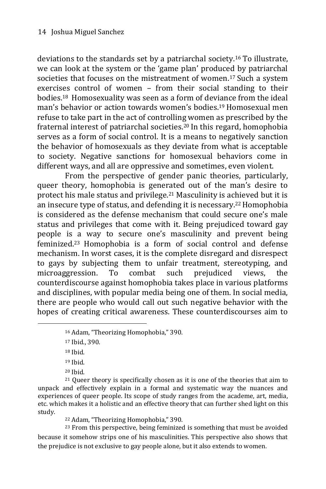deviations to the standards set by a patriarchal society.<sup>16</sup> To illustrate, we can look at the system or the 'game plan' produced by patriarchal societies that focuses on the mistreatment of women.<sup>17</sup> Such a system exercises control of women – from their social standing to their bodies.<sup>18</sup> Homosexuality was seen as a form of deviance from the ideal man's behavior or action towards women's bodies.<sup>19</sup> Homosexual men refuse to take part in the act of controlling women as prescribed by the fraternal interest of patriarchal societies.<sup>20</sup> In this regard, homophobia serves as a form of social control. It is a means to negatively sanction the behavior of homosexuals as they deviate from what is acceptable to society. Negative sanctions for homosexual behaviors come in different ways, and all are oppressive and sometimes, even violent.

From the perspective of gender panic theories, particularly, queer theory, homophobia is generated out of the man's desire to protect his male status and privilege.<sup>21</sup> Masculinity is achieved but it is an insecure type of status, and defending it is necessary.22Homophobia is considered as the defense mechanism that could secure one's male status and privileges that come with it. Being prejudiced toward gay people is a way to secure one's masculinity and prevent being feminized.<sup>23</sup> Homophobia is a form of social control and defense mechanism. In worst cases, it is the complete disregard and disrespect to gays by subjecting them to unfair treatment, stereotyping, and microaggression. To combat such prejudiced views, the counterdiscourse against homophobia takes place in various platforms and disciplines, with popular media being one of them. In social media, there are people who would call out such negative behavior with the hopes of creating critical awareness. These counterdiscourses aim to

<sup>18</sup> Ibid.

-

<sup>19</sup> Ibid.

 $21$  Queer theory is specifically chosen as it is one of the theories that aim to unpack and effectively explain in a formal and systematic way the nuances and experiences of queer people. Its scope of study ranges from the academe, art, media, etc. which makes it a holistic and an effective theory that can further shed light on this study.

<sup>22</sup> Adam, "Theorizing Homophobia," 390.

<sup>23</sup> From this perspective, being feminized is something that must be avoided because it somehow strips one of his masculinities. This perspective also shows that the prejudice is not exclusive to gay people alone, but it also extends to women.

<sup>16</sup> Adam, "Theorizing Homophobia," 390.

<sup>17</sup> Ibid., 390.

<sup>20</sup> Ibid.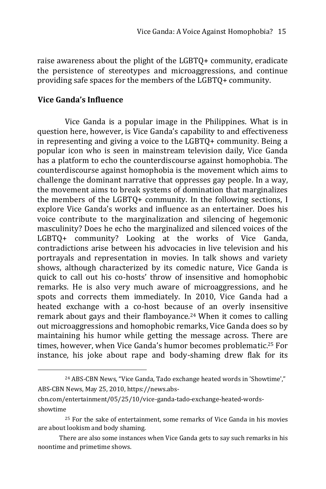raise awareness about the plight of the LGBTQ+ community, eradicate the persistence of stereotypes and microaggressions, and continue providing safe spaces for the members of the LGBTQ+ community.

#### **Vice Ganda's Influence**

-

Vice Ganda is a popular image in the Philippines. What is in question here, however, is Vice Ganda's capability to and effectiveness in representing and giving a voice to the LGBTQ+ community. Being a popular icon who is seen in mainstream television daily, Vice Ganda has a platform to echo the counterdiscourse against homophobia. The counterdiscourse against homophobia is the movement which aims to challenge the dominant narrative that oppresses gay people. In a way, the movement aims to break systems of domination that marginalizes the members of the LGBTQ+ community. In the following sections, I explore Vice Ganda's works and influence as an entertainer. Does his voice contribute to the marginalization and silencing of hegemonic masculinity? Does he echo the marginalized and silenced voices of the LGBTQ+ community? Looking at the works of Vice Ganda, contradictions arise between his advocacies in live television and his portrayals and representation in movies. In talk shows and variety shows, although characterized by its comedic nature, Vice Ganda is quick to call out his co-hosts' throw of insensitive and homophobic remarks. He is also very much aware of microaggressions, and he spots and corrects them immediately. In 2010, Vice Ganda had a heated exchange with a co-host because of an overly insensitive remark about gays and their flamboyance.<sup>24</sup> When it comes to calling out microaggressions and homophobic remarks, Vice Ganda does so by maintaining his humor while getting the message across. There are times, however, when Vice Ganda's humor becomes problematic.<sup>25</sup> For instance, his joke about rape and body-shaming drew flak for its

<sup>24</sup> ABS-CBN News, "Vice Ganda, Tado exchange heated words in 'Showtime'," ABS-CBN News, May 25, 2010, https://news.abs-

cbn.com/entertainment/05/25/10/vice-ganda-tado-exchange-heated-wordsshowtime

<sup>&</sup>lt;sup>25</sup> For the sake of entertainment, some remarks of Vice Ganda in his movies are about lookism and body shaming.

There are also some instances when Vice Ganda gets to say such remarks in his noontime and primetime shows.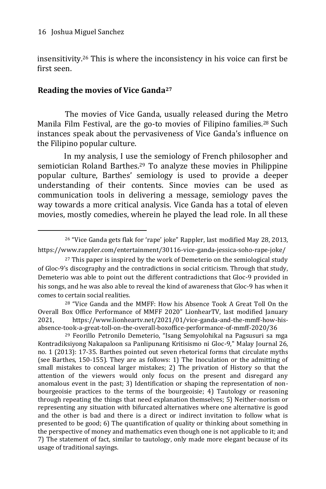-

insensitivity.<sup>26</sup> This is where the inconsistency in his voice can first be first seen.

# **Reading the movies of Vice Ganda<sup>27</sup>**

The movies of Vice Ganda, usually released during the Metro Manila Film Festival, are the go-to movies of Filipino families.<sup>28</sup> Such instances speak about the pervasiveness of Vice Ganda's influence on the Filipino popular culture.

In my analysis, I use the semiology of French philosopher and semiotician Roland Barthes.<sup>29</sup> To analyze these movies in Philippine popular culture, Barthes' semiology is used to provide a deeper understanding of their contents. Since movies can be used as communication tools in delivering a message, semiology paves the way towards a more critical analysis. Vice Ganda has a total of eleven movies, mostly comedies, wherein he played the lead role. In all these

<sup>28</sup> "Vice Ganda and the MMFF: How his Absence Took A Great Toll On the Overall Box Office Performance of MMFF 2020" LionhearTV, last modified January 2021, https://www.lionheartv.net/2021/01/vice-ganda-and-the-mmff-how-hisabsence-took-a-great-toll-on-the-overall-boxoffice-performance-of-mmff-2020/36

<sup>29</sup> Feorillo Petronilo Demeterio, "Isang Semyolohikal na Pagsusuri sa mga Kontradiksiyong Nakapaloon sa Panlipunang Kritisismo ni Gloc-9," Malay Journal 26, no. 1 (2013): 17-35. Barthes pointed out seven rhetorical forms that circulate myths (see Barthes, 150-155). They are as follows: 1) The Inoculation or the admitting of small mistakes to conceal larger mistakes; 2) The privation of History so that the attention of the viewers would only focus on the present and disregard any anomalous event in the past; 3) Identification or shaping the representation of nonbourgeoisie practices to the terms of the bourgeoisie; 4) Tautology or reasoning through repeating the things that need explanation themselves; 5) Neither-norism or representing any situation with bifurcated alternatives where one alternative is good and the other is bad and there is a direct or indirect invitation to follow what is presented to be good; 6) The quantification of quality or thinking about something in the perspective of money and mathematics even though one is not applicable to it; and 7) The statement of fact, similar to tautology, only made more elegant because of its usage of traditional sayings.

<sup>26</sup> "Vice Ganda gets flak for 'rape' joke" Rappler, last modified May 28, 2013, https://www.rappler.com/entertainment/30116-vice-ganda-jessica-soho-rape-joke/

 $27$  This paper is inspired by the work of Demeterio on the semiological study of Gloc-9's discography and the contradictions in social criticism. Through that study, Demeterio was able to point out the different contradictions that Gloc-9 provided in his songs, and he was also able to reveal the kind of awareness that Gloc-9 has when it comes to certain social realities.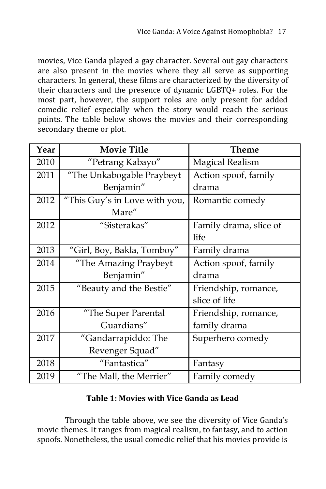movies, Vice Ganda played a gay character. Several out gay characters are also present in the movies where they all serve as supporting characters. In general, these films are characterized by the diversity of their characters and the presence of dynamic LGBTQ+ roles. For the most part, however, the support roles are only present for added comedic relief especially when the story would reach the serious points. The table below shows the movies and their corresponding secondary theme or plot.

| Year | <b>Movie Title</b>            | <b>Theme</b>           |
|------|-------------------------------|------------------------|
| 2010 | "Petrang Kabayo"              | <b>Magical Realism</b> |
| 2011 | "The Unkabogable Praybeyt     | Action spoof, family   |
|      | Benjamin"                     | drama                  |
| 2012 | "This Guy's in Love with you, | Romantic comedy        |
|      | Mare"                         |                        |
| 2012 | "Sisterakas"                  | Family drama, slice of |
|      |                               | life                   |
| 2013 | "Girl, Boy, Bakla, Tomboy"    | Family drama           |
| 2014 | "The Amazing Praybeyt         | Action spoof, family   |
|      | Benjamin"                     | drama                  |
| 2015 | "Beauty and the Bestie"       | Friendship, romance,   |
|      |                               | slice of life          |
| 2016 | "The Super Parental           | Friendship, romance,   |
|      | Guardians"                    | family drama           |
| 2017 | "Gandarrapiddo: The           | Superhero comedy       |
|      | Revenger Squad"               |                        |
| 2018 | "Fantastica"                  | Fantasy                |
| 2019 | "The Mall, the Merrier"       | Family comedy          |

#### **Table 1: Movies with Vice Ganda as Lead**

Through the table above, we see the diversity of Vice Ganda's movie themes. It ranges from magical realism, to fantasy, and to action spoofs. Nonetheless, the usual comedic relief that his movies provide is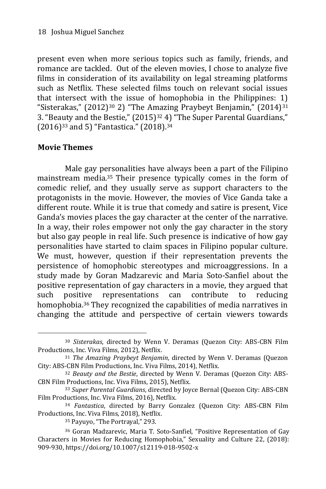present even when more serious topics such as family, friends, and romance are tackled. Out of the eleven movies, I chose to analyze five films in consideration of its availability on legal streaming platforms such as Netflix. These selected films touch on relevant social issues that intersect with the issue of homophobia in the Philippines: 1) "Sisterakas,"  $(2012)^{30}$  2) "The Amazing Praybeyt Benjamin,"  $(2014)^{31}$ 3. "Beauty and the Bestie," (2015)<sup>32</sup> 4) "The Super Parental Guardians," (2016)<sup>33</sup> and 5) "Fantastica." (2018).<sup>34</sup>

# **Movie Themes**

-

Male gay personalities have always been a part of the Filipino mainstream media.<sup>35</sup> Their presence typically comes in the form of comedic relief, and they usually serve as support characters to the protagonists in the movie. However, the movies of Vice Ganda take a different route. While it is true that comedy and satire is present, Vice Ganda's movies places the gay character at the center of the narrative. In a way, their roles empower not only the gay character in the story but also gay people in real life. Such presence is indicative of how gay personalities have started to claim spaces in Filipino popular culture. We must, however, question if their representation prevents the persistence of homophobic stereotypes and microaggressions. In a study made by Goran Madzarevic and Maria Soto-Sanfiel about the positive representation of gay characters in a movie, they argued that such positive representations can contribute to reducing homophobia.<sup>36</sup> They recognized the capabilities of media narratives in changing the attitude and perspective of certain viewers towards

<sup>30</sup> *Sisterakas*, directed by Wenn V. Deramas (Quezon City: ABS-CBN Film Productions, Inc. Viva Films, 2012), Netflix.

<sup>31</sup> *The Amazing Praybeyt Benjamin*, directed by Wenn V. Deramas (Quezon City: ABS-CBN Film Productions, Inc. Viva Films, 2014), Netflix.

<sup>32</sup> *Beauty and the Bestie*, directed by Wenn V. Deramas (Quezon City: ABS-CBN Film Productions, Inc. Viva Films, 2015), Netflix.

<sup>33</sup> *Super Parental Guardians*, directed by Joyce Bernal (Quezon City: ABS-CBN Film Productions, Inc. Viva Films, 2016), Netflix.

<sup>34</sup> *Fantastica*, directed by Barry Gonzalez (Quezon City: ABS-CBN Film Productions, Inc. Viva Films, 2018), Netflix.

<sup>35</sup> Payuyo, "The Portrayal," 293.

<sup>36</sup> Goran Madzarevic, Maria T. Soto-Sanfiel, "Positive Representation of Gay Characters in Movies for Reducing Homophobia," Sexuality and Culture 22, (2018): 909-930, https://doi.org/10.1007/s12119-018-9502-x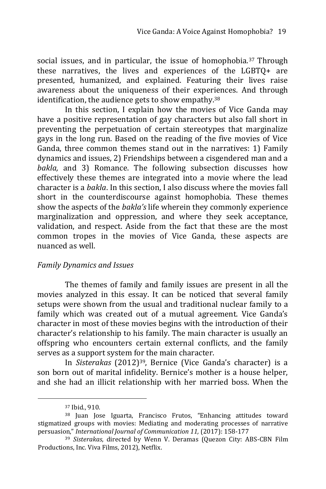social issues, and in particular, the issue of homophobia.<sup>37</sup> Through these narratives, the lives and experiences of the LGBTQ+ are presented, humanized, and explained. Featuring their lives raise awareness about the uniqueness of their experiences. And through identification, the audience gets to show empathy.<sup>38</sup>

In this section, I explain how the movies of Vice Ganda may have a positive representation of gay characters but also fall short in preventing the perpetuation of certain stereotypes that marginalize gays in the long run. Based on the reading of the five movies of Vice Ganda, three common themes stand out in the narratives: 1) Family dynamics and issues, 2) Friendships between a cisgendered man and a *bakla,* and 3) Romance. The following subsection discusses how effectively these themes are integrated into a movie where the lead character is a *bakla*. In this section, I also discuss where the movies fall short in the counterdiscourse against homophobia. These themes show the aspects of the *bakla's* life wherein they commonly experience marginalization and oppression, and where they seek acceptance, validation, and respect. Aside from the fact that these are the most common tropes in the movies of Vice Ganda, these aspects are nuanced as well.

#### *Family Dynamics and Issues*

The themes of family and family issues are present in all the movies analyzed in this essay. It can be noticed that several family setups were shown from the usual and traditional nuclear family to a family which was created out of a mutual agreement. Vice Ganda's character in most of these movies begins with the introduction of their character's relationship to his family. The main character is usually an offspring who encounters certain external conflicts, and the family serves as a support system for the main character.

In *Sisterakas* (2012)39, Bernice (Vice Ganda's character) is a son born out of marital infidelity. Bernice's mother is a house helper, and she had an illicit relationship with her married boss. When the

<sup>37</sup> Ibid., 910.

<sup>38</sup> Juan Jose Iguarta, Francisco Frutos, "Enhancing attitudes toward stigmatized groups with movies: Mediating and moderating processes of narrative persuasion," *International Journal of Communication 11,* (2017): 158-177

<sup>39</sup> *Sisterakas*, directed by Wenn V. Deramas (Quezon City: ABS-CBN Film Productions, Inc. Viva Films, 2012), Netflix.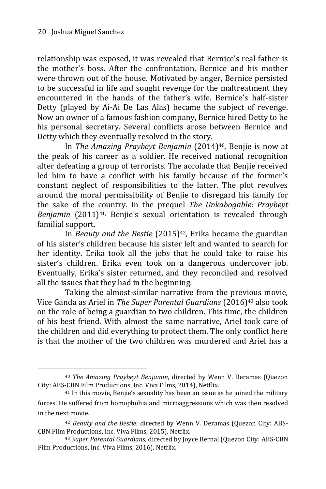-

relationship was exposed, it was revealed that Bernice's real father is the mother's boss. After the confrontation, Bernice and his mother were thrown out of the house. Motivated by anger, Bernice persisted to be successful in life and sought revenge for the maltreatment they encountered in the hands of the father's wife. Bernice's half-sister Detty (played by Ai-Ai De Las Alas) became the subject of revenge. Now an owner of a famous fashion company, Bernice hired Detty to be his personal secretary. Several conflicts arose between Bernice and Detty which they eventually resolved in the story.

In *The Amazing Praybeyt Benjamin* (2014)40, Benjie is now at the peak of his career as a soldier. He received national recognition after defeating a group of terrorists. The accolade that Benjie received led him to have a conflict with his family because of the former's constant neglect of responsibilities to the latter. The plot revolves around the moral permissibility of Benjie to disregard his family for the sake of the country. In the prequel *The Unkabogable: Praybeyt Benjamin* (2011)41, Benjie's sexual orientation is revealed through familial support.

In *Beauty and the Bestie* (2015)<sup>42</sup>, Erika became the guardian of his sister's children because his sister left and wanted to search for her identity. Erika took all the jobs that he could take to raise his sister's children. Erika even took on a dangerous undercover job. Eventually, Erika's sister returned, and they reconciled and resolved all the issues that they had in the beginning.

Taking the almost-similar narrative from the previous movie, Vice Ganda as Ariel in *The Super Parental Guardians* (2016)<sup>43</sup> also took on the role of being a guardian to two children. This time, the children of his best friend. With almost the same narrative, Ariel took care of the children and did everything to protect them. The only conflict here is that the mother of the two children was murdered and Ariel has a

<sup>40</sup> *The Amazing Praybeyt Benjamin*, directed by Wenn V. Deramas (Quezon City: ABS-CBN Film Productions, Inc. Viva Films, 2014), Netflix.

<sup>41</sup> In this movie, Benjie's sexuality has been an issue as he joined the military forces. He suffered from homophobia and microaggressions which was then resolved in the next movie.

<sup>42</sup> *Beauty and the Bestie*, directed by Wenn V. Deramas (Quezon City: ABS-CBN Film Productions, Inc. Viva Films, 2015), Netflix.

<sup>43</sup> *Super Parental Guardians*, directed by Joyce Bernal (Quezon City: ABS-CBN Film Productions, Inc. Viva Films, 2016), Netflix.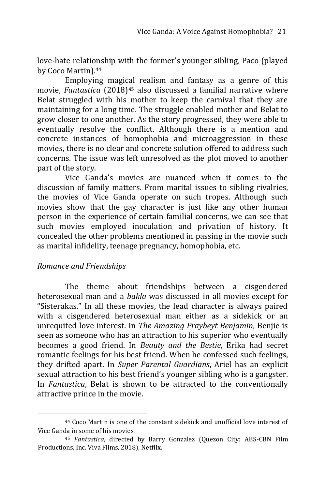love-hate relationship with the former's younger sibling, Paco (played by Coco Martin).<sup>44</sup>

Employing magical realism and fantasy as a genre of this movie, *Fantastica* (2018)<sup>45</sup> also discussed a familial narrative where Belat struggled with his mother to keep the carnival that they are maintaining for a long time. The struggle enabled mother and Belat to grow closer to one another. As the story progressed, they were able to eventually resolve the conflict. Although there is a mention and concrete instances of homophobia and microaggression in these movies, there is no clear and concrete solution offered to address such concerns. The issue was left unresolved as the plot moved to another part of the story.

Vice Ganda's movies are nuanced when it comes to the discussion of family matters. From marital issues to sibling rivalries, the movies of Vice Ganda operate on such tropes. Although such movies show that the gay character is just like any other human person in the experience of certain familial concerns, we can see that such movies employed inoculation and privation of history. It concealed the other problems mentioned in passing in the movie such as marital infidelity, teenage pregnancy, homophobia, etc.

#### *Romance and Friendships*

-

The theme about friendships between a cisgendered heterosexual man and a *bakla* was discussed in all movies except for "Sisterakas." In all these movies, the lead character is always paired with a cisgendered heterosexual man either as a sidekick or an unrequited love interest. In *The Amazing Praybeyt Benjamin*, Benjie is seen as someone who has an attraction to his superior who eventually becomes a good friend. In *Beauty and the Bestie*, Erika had secret romantic feelings for his best friend. When he confessed such feelings, they drifted apart. In *Super Parental Guardians*, Ariel has an explicit sexual attraction to his best friend's younger sibling who is a gangster. In *Fantastica*, Belat is shown to be attracted to the conventionally attractive prince in the movie.

<sup>44</sup> Coco Martin is one of the constant sidekick and unofficial love interest of Vice Ganda in some of his movies.

<sup>45</sup> *Fantastica*, directed by Barry Gonzalez (Quezon City: ABS-CBN Film Productions, Inc. Viva Films, 2018), Netflix.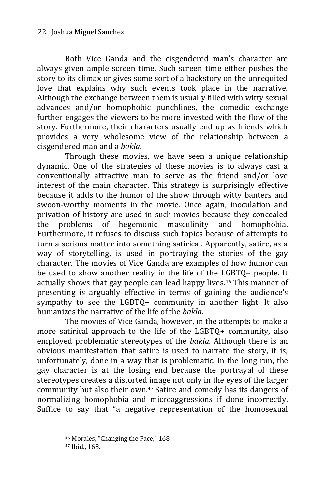Both Vice Ganda and the cisgendered man's character are always given ample screen time. Such screen time either pushes the story to its climax or gives some sort of a backstory on the unrequited love that explains why such events took place in the narrative. Although the exchange between them is usually filled with witty sexual advances and/or homophobic punchlines, the comedic exchange further engages the viewers to be more invested with the flow of the story. Furthermore, their characters usually end up as friends which provides a very wholesome view of the relationship between a cisgendered man and a *bakla*.

Through these movies, we have seen a unique relationship dynamic. One of the strategies of these movies is to always cast a conventionally attractive man to serve as the friend and/or love interest of the main character. This strategy is surprisingly effective because it adds to the humor of the show through witty banters and swoon-worthy moments in the movie. Once again, inoculation and privation of history are used in such movies because they concealed the problems of hegemonic masculinity and homophobia. Furthermore, it refuses to discuss such topics because of attempts to turn a serious matter into something satirical. Apparently, satire, as a way of storytelling, is used in portraying the stories of the gay character. The movies of Vice Ganda are examples of how humor can be used to show another reality in the life of the LGBTQ+ people. It actually shows that gay people can lead happy lives.<sup>46</sup> This manner of presenting is arguably effective in terms of gaining the audience's sympathy to see the LGBTQ+ community in another light. It also humanizes the narrative of the life of the *bakla*.

The movies of Vice Ganda, however, in the attempts to make a more satirical approach to the life of the LGBTQ+ community, also employed problematic stereotypes of the *bakla*. Although there is an obvious manifestation that satire is used to narrate the story, it is, unfortunately, done in a way that is problematic. In the long run, the gay character is at the losing end because the portrayal of these stereotypes creates a distorted image not only in the eyes of the larger community but also their own.<sup>47</sup> Satire and comedy has its dangers of normalizing homophobia and microaggressions if done incorrectly. Suffice to say that "a negative representation of the homosexual

<sup>46</sup> Morales, "Changing the Face," 168

<sup>47</sup> Ibid., 168.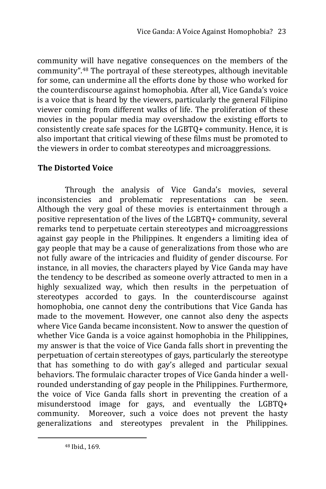community will have negative consequences on the members of the community".<sup>48</sup> The portrayal of these stereotypes, although inevitable for some, can undermine all the efforts done by those who worked for the counterdiscourse against homophobia. After all, Vice Ganda's voice is a voice that is heard by the viewers, particularly the general Filipino viewer coming from different walks of life. The proliferation of these movies in the popular media may overshadow the existing efforts to consistently create safe spaces for the LGBTQ+ community. Hence, it is also important that critical viewing of these films must be promoted to the viewers in order to combat stereotypes and microaggressions.

# **The Distorted Voice**

Through the analysis of Vice Ganda's movies, several inconsistencies and problematic representations can be seen. Although the very goal of these movies is entertainment through a positive representation of the lives of the LGBTQ+ community, several remarks tend to perpetuate certain stereotypes and microaggressions against gay people in the Philippines. It engenders a limiting idea of gay people that may be a cause of generalizations from those who are not fully aware of the intricacies and fluidity of gender discourse. For instance, in all movies, the characters played by Vice Ganda may have the tendency to be described as someone overly attracted to men in a highly sexualized way, which then results in the perpetuation of stereotypes accorded to gays. In the counterdiscourse against homophobia, one cannot deny the contributions that Vice Ganda has made to the movement. However, one cannot also deny the aspects where Vice Ganda became inconsistent. Now to answer the question of whether Vice Ganda is a voice against homophobia in the Philippines, my answer is that the voice of Vice Ganda falls short in preventing the perpetuation of certain stereotypes of gays, particularly the stereotype that has something to do with gay's alleged and particular sexual behaviors. The formulaic character tropes of Vice Ganda hinder a wellrounded understanding of gay people in the Philippines. Furthermore, the voice of Vice Ganda falls short in preventing the creation of a misunderstood image for gays, and eventually the LGBTQ+ community. Moreover, such a voice does not prevent the hasty generalizations and stereotypes prevalent in the Philippines.

<sup>48</sup> Ibid., 169.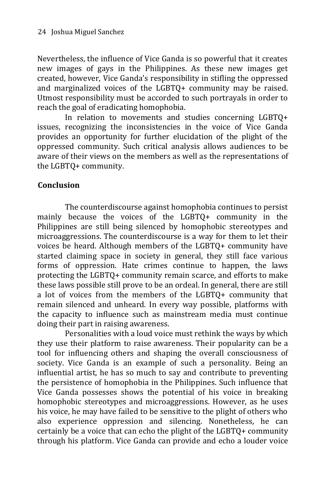Nevertheless, the influence of Vice Ganda is so powerful that it creates new images of gays in the Philippines. As these new images get created, however, Vice Ganda's responsibility in stifling the oppressed and marginalized voices of the LGBTQ+ community may be raised. Utmost responsibility must be accorded to such portrayals in order to reach the goal of eradicating homophobia.

In relation to movements and studies concerning LGBTQ+ issues, recognizing the inconsistencies in the voice of Vice Ganda provides an opportunity for further elucidation of the plight of the oppressed community. Such critical analysis allows audiences to be aware of their views on the members as well as the representations of the LGBTQ+ community.

#### **Conclusion**

The counterdiscourse against homophobia continues to persist mainly because the voices of the LGBTQ+ community in the Philippines are still being silenced by homophobic stereotypes and microaggressions. The counterdiscourse is a way for them to let their voices be heard. Although members of the LGBTQ+ community have started claiming space in society in general, they still face various forms of oppression. Hate crimes continue to happen, the laws protecting the LGBTQ+ community remain scarce, and efforts to make these laws possible still prove to be an ordeal. In general, there are still a lot of voices from the members of the LGBTQ+ community that remain silenced and unheard. In every way possible, platforms with the capacity to influence such as mainstream media must continue doing their part in raising awareness.

Personalities with a loud voice must rethink the ways by which they use their platform to raise awareness. Their popularity can be a tool for influencing others and shaping the overall consciousness of society. Vice Ganda is an example of such a personality. Being an influential artist, he has so much to say and contribute to preventing the persistence of homophobia in the Philippines. Such influence that Vice Ganda possesses shows the potential of his voice in breaking homophobic stereotypes and microaggressions. However, as he uses his voice, he may have failed to be sensitive to the plight of others who also experience oppression and silencing. Nonetheless, he can certainly be a voice that can echo the plight of the LGBTQ+ community through his platform. Vice Ganda can provide and echo a louder voice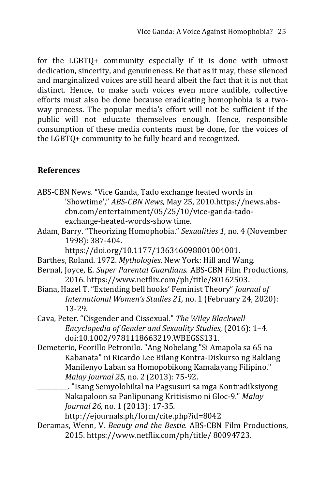for the LGBTQ+ community especially if it is done with utmost dedication, sincerity, and genuineness. Be that as it may, these silenced and marginalized voices are still heard albeit the fact that it is not that distinct. Hence, to make such voices even more audible, collective efforts must also be done because eradicating homophobia is a twoway process. The popular media's effort will not be sufficient if the public will not educate themselves enough. Hence, responsible consumption of these media contents must be done, for the voices of the LGBTQ+ community to be fully heard and recognized.

# **References**

- ABS-CBN News. "Vice Ganda, Tado exchange heated words in 'Showtime'," *ABS-CBN News,* May 25, 2010.https://news.abscbn.com/entertainment/05/25/10/vice-ganda-tadoexchange-heated-words-show time.
- Adam, Barry. "Theorizing Homophobia." *Sexualities 1,* no. 4 (November 1998): 387-404.

[https://doi.org/10.1177/136346098001004001.](https://doi.org/10.1177/136346098001004001)

- Barthes, Roland. 1972. *Mythologies*. New York: Hill and Wang.
- Bernal, Joyce, E. *Super Parental Guardians.* ABS-CBN Film Productions, 2016. [https://www.netflix.com/ph/title/80162503.](https://www.netflix.com/ph/title/80162503)
- Biana, Hazel T. "Extending bell hooks' Feminist Theory" *Journal of International Women's Studies 21,* no. 1 (February 24, 2020): 13-29.
- Cava, Peter. "Cisgender and Cissexual." *The Wiley Blackwell Encyclopedia of Gender and Sexuality Studies,* (2016): 1–4. doi:10.1002/9781118663219.WBEGSS131.
- Demeterio, Feorillo Petronilo. "Ang Nobelang "Si Amapola sa 65 na Kabanata" ni Ricardo Lee Bilang Kontra-Diskurso ng Baklang Manilenyo Laban sa Homopobikong Kamalayang Filipino." *Malay Journal 25,* no. 2 (2013): 75-92.

\_\_\_\_\_\_\_\_\_\_. "Isang Semyolohikal na Pagsusuri sa mga Kontradiksiyong Nakapaloon sa Panlipunang Kritisismo ni Gloc-9." *Malay Journal 26,* no. 1 (2013): 17-35.

http://ejournals.ph/form/cite.php?id=8042

Deramas, Wenn, V. *Beauty and the Bestie.* ABS-CBN Film Productions, 2015. https://www.netflix.com/ph/title/ 80094723.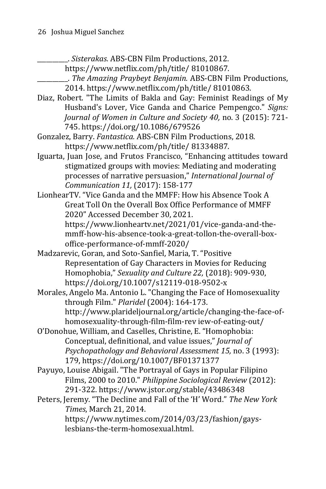\_\_\_\_\_\_\_\_\_\_. *Sisterakas.* ABS-CBN Film Productions, 2012.

https://www.netflix.com/ph/title/ 81010867.

- \_\_\_\_\_\_\_\_\_\_. *The Amazing Praybeyt Benjamin.* ABS-CBN Film Productions, 2014. https://www.netflix.com/ph/title/ 81010863.
- Diaz, Robert. "The Limits of Bakla and Gay: Feminist Readings of My Husband's Lover, Vice Ganda and Charice Pempengco." *Signs: Journal of Women in Culture and Society 40,* no. 3 (2015): 721- 745[. https://doi.org/10.1086/679526](https://doi.org/10.1086/679526)
- Gonzalez, Barry. *Fantastica.* ABS-CBN Film Productions, 2018. https://www.netflix.com/ph/title/ 81334887.
- Iguarta, Juan Jose, and Frutos Francisco, "Enhancing attitudes toward stigmatized groups with movies: Mediating and moderating processes of narrative persuasion," *International Journal of Communication 11,* (2017): 158-177
- LionhearTV. "Vice Ganda and the MMFF: How his Absence Took A Great Toll On the Overall Box Office Performance of MMFF 2020" Accessed December 30, 2021.

[https://www.lionheartv.net/2021/01/vice-ganda-and-the](https://www.lionheartv.net/2021/01/vice-ganda-and-the-mmff-how-his-absence-took-a-great-tollon-the-overall-box-office-performance-of-mmff-2020/)[mmff-how-his-absence-took-a-great-tollon-the-overall-box](https://www.lionheartv.net/2021/01/vice-ganda-and-the-mmff-how-his-absence-took-a-great-tollon-the-overall-box-office-performance-of-mmff-2020/)[office-performance-of-mmff-2020/](https://www.lionheartv.net/2021/01/vice-ganda-and-the-mmff-how-his-absence-took-a-great-tollon-the-overall-box-office-performance-of-mmff-2020/)

Madzarevic, Goran, and Soto-Sanfiel, Maria, T. "Positive Representation of Gay Characters in Movies for Reducing Homophobia," *Sexuality and Culture 22,* (2018): 909-930, <https://doi.org/10.1007/s12119-018-9502-x>

- Morales, Angelo Ma. Antonio L. "Changing the Face of Homosexuality through Film." *Plaridel* (2004): 164-173. [http://www.plarideljournal.org/article/changing-the-face-of](http://www.plarideljournal.org/article/changing-the-face-of-homosexuality-through-film-film-rev%20iew-of-eating-out/)[homosexuality-through-film-film-rev iew-of-eating-out/](http://www.plarideljournal.org/article/changing-the-face-of-homosexuality-through-film-film-rev%20iew-of-eating-out/)
- O'Donohue, William, and Caselles, Christine, E. "Homophobia: Conceptual, definitional, and value issues," *Journal of Psychopathology and Behavioral Assessment 15,* no. 3 (1993): 179, [https://doi.org/10.1007/BF01371377](https://psycnet.apa.org/doi/10.1007/BF01371377)
- Payuyo, Louise Abigail. "The Portrayal of Gays in Popular Filipino Films, 2000 to 2010." *Philippine Sociological Review* (2012): 291-322.<https://www.jstor.org/stable/43486348>

Peters, Jeremy. "The Decline and Fall of the 'H' Word." *The New York Times*, March 21, 2014. <https://www.nytimes.com/2014/03/23/fashion/gays->

lesbians-the-term-homosexual.html.